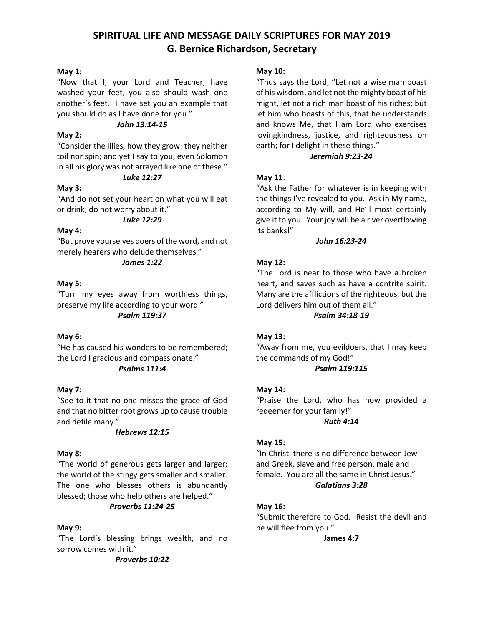# **SPIRITUAL LIFE AND MESSAGE DAILY SCRIPTURES FOR MAY 2019 G. Bernice Richardson, Secretary**

### **May 1:**

"Now that I, your Lord and Teacher, have washed your feet, you also should wash one another's feet. I have set you an example that you should do as I have done for you."

#### *John 13:14-15*

### **May 2:**

"Consider the lilies, how they grow: they neither toil nor spin; and yet I say to you, even Solomon in all his glory was not arrayed like one of these." *Luke 12:27*

# **May 3:**

"And do not set your heart on what you will eat or drink; do not worry about it."

# *Luke 12:29*

## **May 4:**

"But prove yourselves doers of the word, and not merely hearers who delude themselves."

### *James 1:22*

### **May 5:**

"Turn my eyes away from worthless things, preserve my life according to your word." *Psalm 119:37*

# **May 6:**

"He has caused his wonders to be remembered; the Lord I gracious and compassionate."

# *Psalms 111:4*

# **May 7:**

"See to it that no one misses the grace of God and that no bitter root grows up to cause trouble and defile many."

#### *Hebrews 12:15*

#### **May 8:**

"The world of generous gets larger and larger; the world of the stingy gets smaller and smaller. The one who blesses others is abundantly blessed; those who help others are helped."

# *Proverbs 11:24-25*

#### **May 9:**

"The Lord's blessing brings wealth, and no sorrow comes with it."

#### **May 10:**

"Thus says the Lord, "Let not a wise man boast of his wisdom, and let not the mighty boast of his might, let not a rich man boast of his riches; but let him who boasts of this, that he understands and knows Me, that I am Lord who exercises lovingkindness, justice, and righteousness on earth; for I delight in these things."

### *Jeremiah 9:23-24*

# **May 11**:

"Ask the Father for whatever is in keeping with the things I've revealed to you. Ask in My name, according to My will, and He'll most certainly give it to you. Your joy will be a river overflowing its banks!"

### *John 16:23-24*

# **May 12:**

"The Lord is near to those who have a broken heart, and saves such as have a contrite spirit. Many are the afflictions of the righteous, but the Lord delivers him out of them all."

*Psalm 34:18-19*

# **May 13:**

"Away from me, you evildoers, that I may keep the commands of my God!"

# *Psalm 119:115*

# **May 14:**

"Praise the Lord, who has now provided a redeemer for your family!" *Ruth 4:14*

# **May 15:**

"In Christ, there is no difference between Jew and Greek, slave and free person, male and female. You are all the same in Christ Jesus." *Galatians 3:28*

# **May 16:**

"Submit therefore to God. Resist the devil and he will flee from you."

**James 4:7**